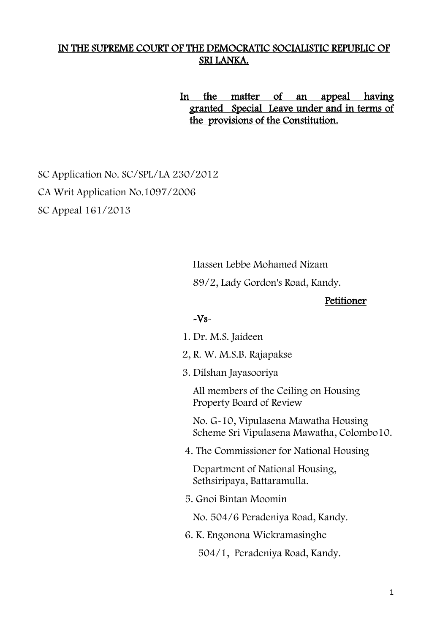## IN THE SUPREME COURT OF THE DEMOCRATIC SOCIALISTIC REPUBLIC OF SRI LANKA.

 In the matter of an appeal having granted Special Leave under and in terms of the provisions of the Constitution.

 SC Application No. SC/SPL/LA 230/2012 CA Writ Application No.1097/2006 SC Appeal 161/2013

Hassen Lebbe Mohamed Nizam

89/2, Lady Gordon's Road, Kandy.

### Petitioner

#### $-Vs$ -

- 1. Dr. M.S. Jaideen
- 2, R. W. M.S.B. Rajapakse
- 3. Dilshan Jayasooriya

All members of the Ceiling on Housing Property Board of Review

No. G-10, Vipulasena Mawatha Housing Scheme Sri Vipulasena Mawatha, Colombo10.

4. The Commissioner for National Housing

Department of National Housing, Sethsiripaya, Battaramulla.

5. Gnoi Bintan Moomin

No. 504/6 Peradeniya Road, Kandy.

6. K. Engonona Wickramasinghe

504/1, Peradeniya Road, Kandy.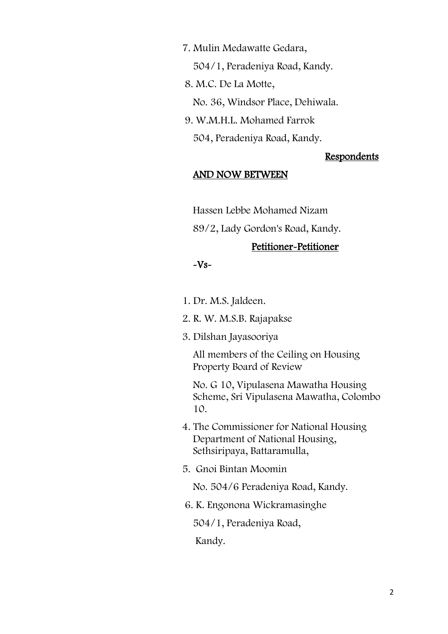7. Mulin Medawatte Gedara,

504/1, Peradeniya Road, Kandy.

8. M.C. De La Motte,

No. 36, Windsor Place, Dehiwala.

9. W.M.H.L. Mohamed Farrok

504, Peradeniya Road, Kandy.

#### **Respondents**

### AND NOW BETWEEN

Hassen Lebbe Mohamed Nizam

89/2, Lady Gordon's Road, Kandy.

### Petitioner-Petitioner

#### $-Vs-$

1. Dr. M.S. Jaldeen.

2. R. W. M.S.B. Rajapakse

3. Dilshan Jayasooriya

All members of the Ceiling on Housing Property Board of Review

No. G 10, Vipulasena Mawatha Housing Scheme, Sri Vipulasena Mawatha, Colombo 10.

- 4. The Commissioner for National Housing Department of National Housing, Sethsiripaya, Battaramulla,
- 5. Gnoi Bintan Moomin

No. 504/6 Peradeniya Road, Kandy.

6. K. Engonona Wickramasinghe

504/1, Peradeniya Road,

Kandy.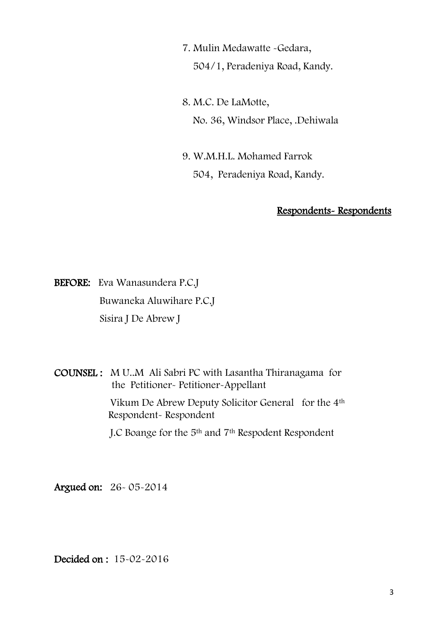7. Mulin Medawatte -Gedara,

504/1, Peradeniya Road, Kandy.

8. M.C. De LaMotte, No. 36, Windsor Place, .Dehiwala

9. W.M.H.L. Mohamed Farrok 504, Peradeniya Road, Kandy.

## Respondents- Respondents

BEFORE: Eva Wanasundera P.C.J Buwaneka Aluwihare P.C.J Sisira J De Abrew J

COUNSEL : M U..M Ali Sabri PC with Lasantha Thiranagama for the Petitioner- Petitioner-Appellant

> Vikum De Abrew Deputy Solicitor General for the 4th Respondent- Respondent

J.C Boange for the 5th and 7th Respodent Respondent

Argued on: 26- 05-2014

Decided on : 15-02-2016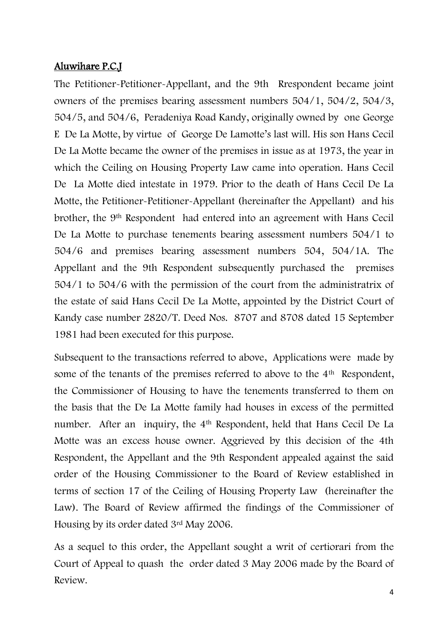## Aluwihare P.C.J

The Petitioner-Petitioner-Appellant, and the 9th Rrespondent became joint owners of the premises bearing assessment numbers 504/1, 504/2, 504/3, 504/5, and 504/6, Peradeniya Road Kandy, originally owned by one George E De La Motte, by virtue of George De Lamotte's last will. His son Hans Cecil De La Motte became the owner of the premises in issue as at 1973, the year in which the Ceiling on Housing Property Law came into operation. Hans Cecil De La Motte died intestate in 1979. Prior to the death of Hans Cecil De La Motte, the Petitioner-Petitioner-Appellant (hereinafter the Appellant) and his brother, the 9th Respondent had entered into an agreement with Hans Cecil De La Motte to purchase tenements bearing assessment numbers 504/1 to 504/6 and premises bearing assessment numbers 504, 504/1A. The Appellant and the 9th Respondent subsequently purchased the premises 504/1 to 504/6 with the permission of the court from the administratrix of the estate of said Hans Cecil De La Motte, appointed by the District Court of Kandy case number 2820/T. Deed Nos. 8707 and 8708 dated 15 September 1981 had been executed for this purpose.

Subsequent to the transactions referred to above, Applications were made by some of the tenants of the premises referred to above to the 4<sup>th</sup> Respondent, the Commissioner of Housing to have the tenements transferred to them on the basis that the De La Motte family had houses in excess of the permitted number. After an inquiry, the 4th Respondent, held that Hans Cecil De La Motte was an excess house owner. Aggrieved by this decision of the 4th Respondent, the Appellant and the 9th Respondent appealed against the said order of the Housing Commissioner to the Board of Review established in terms of section 17 of the Ceiling of Housing Property Law (hereinafter the Law). The Board of Review affirmed the findings of the Commissioner of Housing by its order dated 3rd May 2006.

As a sequel to this order, the Appellant sought a writ of certiorari from the Court of Appeal to quash the order dated 3 May 2006 made by the Board of Review.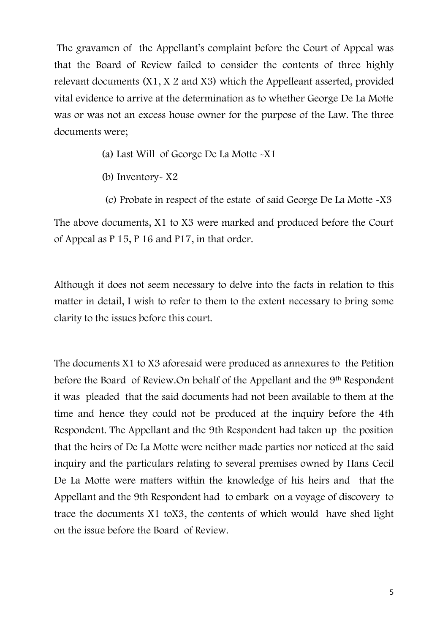The gravamen of the Appellant's complaint before the Court of Appeal was that the Board of Review failed to consider the contents of three highly relevant documents (X1, X 2 and X3) which the Appelleant asserted, provided vital evidence to arrive at the determination as to whether George De La Motte was or was not an excess house owner for the purpose of the Law. The three documents were;

- (a) Last Will of George De La Motte -X1
- (b) Inventory- X2

of Appeal as P 15, P 16 and P17, in that order.

 (c) Probate in respect of the estate of said George De La Motte -X3 The above documents, X1 to X3 were marked and produced before the Court

Although it does not seem necessary to delve into the facts in relation to this matter in detail, I wish to refer to them to the extent necessary to bring some clarity to the issues before this court.

The documents X1 to X3 aforesaid were produced as annexures to the Petition before the Board of Review.On behalf of the Appellant and the 9th Respondent it was pleaded that the said documents had not been available to them at the time and hence they could not be produced at the inquiry before the 4th Respondent. The Appellant and the 9th Respondent had taken up the position that the heirs of De La Motte were neither made parties nor noticed at the said inquiry and the particulars relating to several premises owned by Hans Cecil De La Motte were matters within the knowledge of his heirs and that the Appellant and the 9th Respondent had to embark on a voyage of discovery to trace the documents X1 toX3, the contents of which would have shed light on the issue before the Board of Review.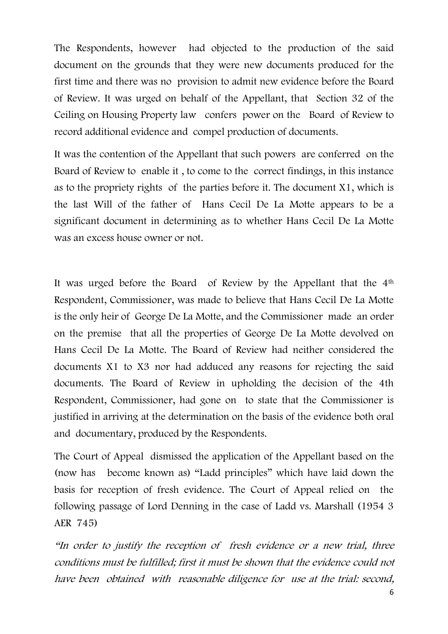The Respondents, however had objected to the production of the said document on the grounds that they were new documents produced for the first time and there was no provision to admit new evidence before the Board of Review. It was urged on behalf of the Appellant, that Section 32 of the Ceiling on Housing Property law confers power on the Board of Review to record additional evidence and compel production of documents.

It was the contention of the Appellant that such powers are conferred on the Board of Review to enable it , to come to the correct findings, in this instance as to the propriety rights of the parties before it. The document X1, which is the last Will of the father of Hans Cecil De La Motte appears to be a significant document in determining as to whether Hans Cecil De La Motte was an excess house owner or not.

It was urged before the Board of Review by the Appellant that the 4th Respondent, Commissioner, was made to believe that Hans Cecil De La Motte is the only heir of George De La Motte, and the Commissioner made an order on the premise that all the properties of George De La Motte devolved on Hans Cecil De La Motte. The Board of Review had neither considered the documents X1 to X3 nor had adduced any reasons for rejecting the said documents. The Board of Review in upholding the decision of the 4th Respondent, Commissioner, had gone on to state that the Commissioner is justified in arriving at the determination on the basis of the evidence both oral and documentary, produced by the Respondents.

The Court of Appeal dismissed the application of the Appellant based on the (now has become known as) "Ladd principles" which have laid down the basis for reception of fresh evidence. The Court of Appeal relied on the following passage of Lord Denning in the case of Ladd vs. Marshall (1954 3 AER 745)

"In order to justify the reception of fresh evidence or <sup>a</sup> new trial, three conditions must be fulfilled; first it must be shown that the evidence could not have been obtained with reasonable diligence for use at the trial: second,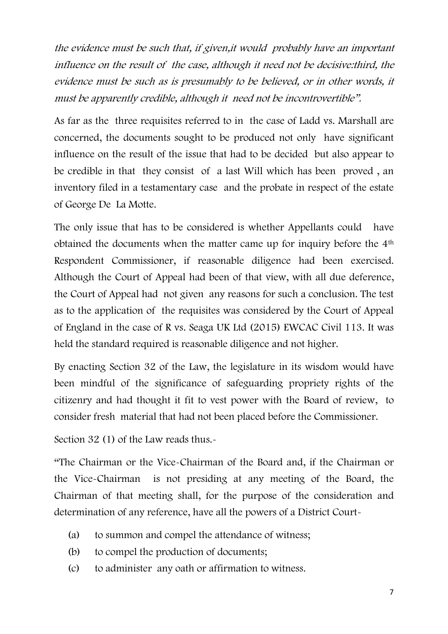the evidence must be such that, if given,it would probably have an important influence on the result of the case, although it need not be decisive:third, the evidence must be such as is presumably to be believed, or in other words, it must be apparently credible, although it need not be incontrovertible".

As far as the three requisites referred to in the case of Ladd vs. Marshall are concerned, the documents sought to be produced not only have significant influence on the result of the issue that had to be decided but also appear to be credible in that they consist of a last Will which has been proved , an inventory filed in a testamentary case and the probate in respect of the estate of George De La Motte.

The only issue that has to be considered is whether Appellants could have obtained the documents when the matter came up for inquiry before the 4th Respondent Commissioner, if reasonable diligence had been exercised. Although the Court of Appeal had been of that view, with all due deference, the Court of Appeal had not given any reasons for such a conclusion. The test as to the application of the requisites was considered by the Court of Appeal of England in the case of R vs. Seaga UK Ltd (2015) EWCAC Civil 113. It was held the standard required is reasonable diligence and not higher.

By enacting Section 32 of the Law, the legislature in its wisdom would have been mindful of the significance of safeguarding propriety rights of the citizenry and had thought it fit to vest power with the Board of review, to consider fresh material that had not been placed before the Commissioner.

Section 32 (1) of the Law reads thus.-

"The Chairman or the Vice-Chairman of the Board and, if the Chairman or the Vice-Chairman is not presiding at any meeting of the Board, the Chairman of that meeting shall, for the purpose of the consideration and determination of any reference, have all the powers of a District Court-

- (a) to summon and compel the attendance of witness;
- (b) to compel the production of documents;
- (c) to administer any oath or affirmation to witness.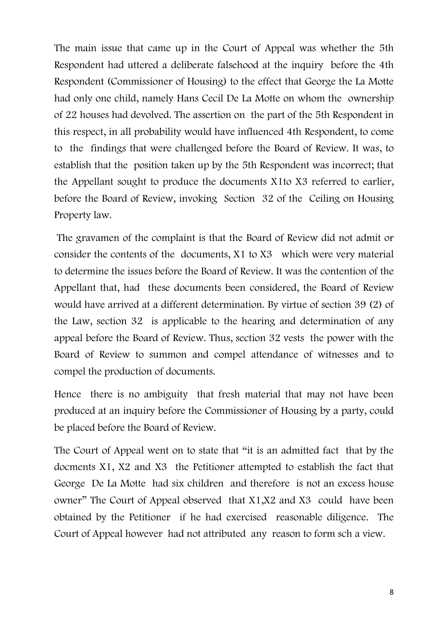The main issue that came up in the Court of Appeal was whether the 5th Respondent had uttered a deliberate falsehood at the inquiry before the 4th Respondent (Commissioner of Housing) to the effect that George the La Motte had only one child, namely Hans Cecil De La Motte on whom the ownership of 22 houses had devolved. The assertion on the part of the 5th Respondent in this respect, in all probability would have influenced 4th Respondent, to come to the findings that were challenged before the Board of Review. It was, to establish that the position taken up by the 5th Respondent was incorrect; that the Appellant sought to produce the documents X1to X3 referred to earlier, before the Board of Review, invoking Section 32 of the Ceiling on Housing Property law.

The gravamen of the complaint is that the Board of Review did not admit or consider the contents of the documents, X1 to X3 which were very material to determine the issues before the Board of Review. It was the contention of the Appellant that, had these documents been considered, the Board of Review would have arrived at a different determination. By virtue of section 39 (2) of the Law, section 32 is applicable to the hearing and determination of any appeal before the Board of Review. Thus, section 32 vests the power with the Board of Review to summon and compel attendance of witnesses and to compel the production of documents.

Hence there is no ambiguity that fresh material that may not have been produced at an inquiry before the Commissioner of Housing by a party, could be placed before the Board of Review.

The Court of Appeal went on to state that "it is an admitted fact that by the docments X1, X2 and X3 the Petitioner attempted to establish the fact that George De La Motte had six children and therefore is not an excess house owner" The Court of Appeal observed that X1,X2 and X3 could have been obtained by the Petitioner if he had exercised reasonable diligence. The Court of Appeal however had not attributed any reason to form sch a view.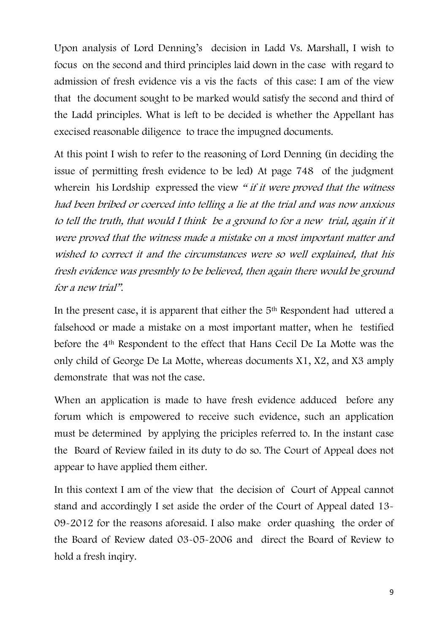Upon analysis of Lord Denning's decision in Ladd Vs. Marshall, I wish to focus on the second and third principles laid down in the case with regard to admission of fresh evidence vis a vis the facts of this case: I am of the view that the document sought to be marked would satisfy the second and third of the Ladd principles. What is left to be decided is whether the Appellant has execised reasonable diligence to trace the impugned documents.

At this point I wish to refer to the reasoning of Lord Denning (in deciding the issue of permitting fresh evidence to be led) At page 748 of the judgment wherein his Lordship expressed the view " if it were proved that the witness had been bribed or coerced into telling a lie at the trial and was now anxious to tell the truth, that would I think be a ground to for a new trial, again if it were proved that the witness made a mistake on a most important matter and wished to correct it and the circumstances were so well explained, that his fresh evidence was presmbly to be believed, then again there would be ground for a new trial".

In the present case, it is apparent that either the 5th Respondent had uttered a falsehood or made a mistake on a most important matter, when he testified before the 4th Respondent to the effect that Hans Cecil De La Motte was the only child of George De La Motte, whereas documents X1, X2, and X3 amply demonstrate that was not the case.

When an application is made to have fresh evidence adduced before any forum which is empowered to receive such evidence, such an application must be determined by applying the priciples referred to. In the instant case the Board of Review failed in its duty to do so. The Court of Appeal does not appear to have applied them either.

In this context I am of the view that the decision of Court of Appeal cannot stand and accordingly I set aside the order of the Court of Appeal dated 13- 09-2012 for the reasons aforesaid. I also make order quashing the order of the Board of Review dated 03-05-2006 and direct the Board of Review to hold a fresh inqiry.